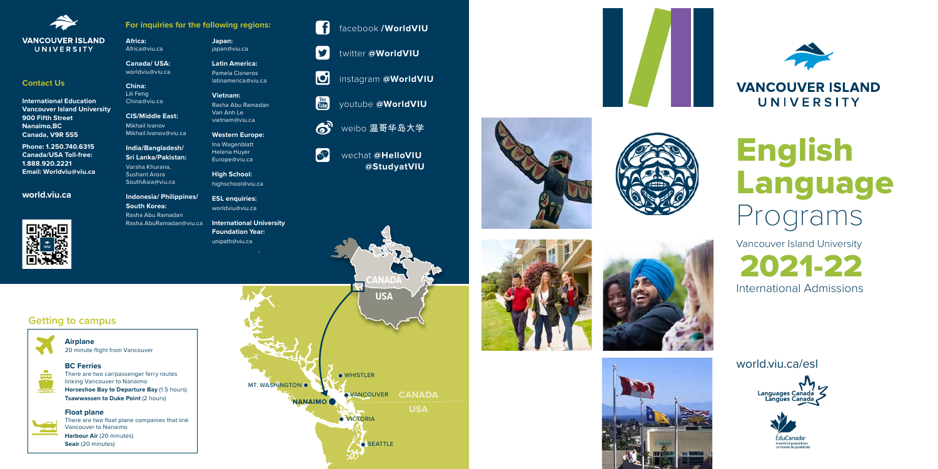

## **VANCOUVER ISLAND** UNIVERSITY

**CANADA**

















## **VANCOUVER ISLAND** UNIVERSITY



**Africa:** Africa@viu.ca

**Canada/ USA:** worldviu@viu.ca

**China:** Lili Feng

China@viu.ca

**CIS/Middle East:** Mikhail Ivanov Mikhail.Ivanov@viu.ca

Sushant Arora

SouthAsia@viu.ca

**Indonesia/ Philippines/ South Korea:** Rasha Abu Ramadan Rasha.AbuRamadan@viu.ca

**Japan:** japan@viu.ca

**India/Bangladesh/ Sri Lanka/Pakistan:** Varsha Khurana, Europe@viu.ca

**Latin America:** Pamela Cisneros

latinamerica@viu.ca **Vietnam:**

Rasha Abu Ramadan Van Anh Le vietnam@viu.ca

**Western Europe:**

Ina Wagenblatt Helena Huyer

**High School:** highschool@viu.ca

**ESL enquiries:** worldviu@viu.ca

**International University Foundation Year:** unipath@viu.ca

## **Contact Us**

**International Education Vancouver Island University 900 Fifth Street Nanaimo,BC Canada, V9R 5S5**

**Phone: 1.250.740.6315 Canada/USA Toll-free: 1.888.920.2221 Email: Worldviu@viu.ca**

### **world.viu.ca**



**For inquiries for the following regions:**



youtube **@WorldVIU**

෯ weibo 温哥华岛大学



 $\left\vert \mathbf{y}\right\vert$ 

 $\begin{bmatrix} \text{You} \\ \text{Table} \end{bmatrix}$ 

**SP** 



wechat **@HelloVIU @StudyatVIU**

## **Getting to campus**



**COL** 

**Airplane** 20 minute flight from Vancouver

#### **Float plane**



There are two float plane companies that link Vancouver to Nanaimo **Harbour Air** (20 minutes) **Seair** (20 minutes)

## **BC Ferries**

There are two car/passenger ferry routes linking Vancouver to Nanaimo

**Horseshoe Bay to Departure Bay** (1.5 hours) **Tsawwassen to Duke Point (2 hours)** 

# English Language Programs

Vancouver Island University



world.viu.ca/esl